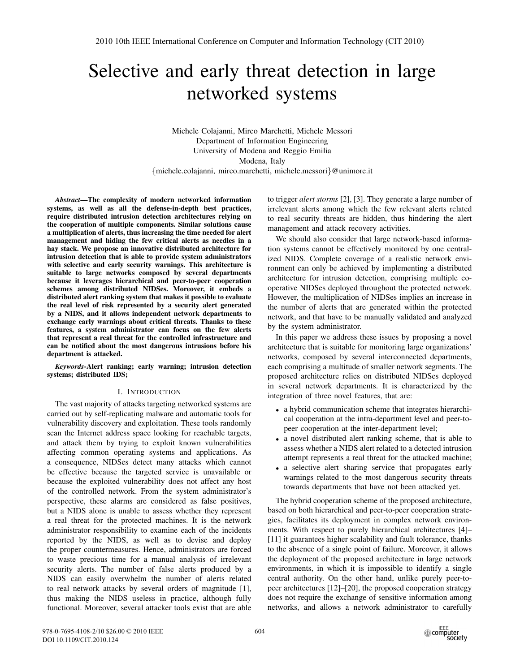# Selective and early threat detection in large networked systems

Michele Colajanni, Mirco Marchetti, Michele Messori Department of Information Engineering University of Modena and Reggio Emilia Modena, Italy {michele.colajanni, mirco.marchetti, michele.messori}@unimore.it

*Abstract*—The complexity of modern networked information systems, as well as all the defense-in-depth best practices, require distributed intrusion detection architectures relying on the cooperation of multiple components. Similar solutions cause a multiplication of alerts, thus increasing the time needed for alert management and hiding the few critical alerts as needles in a hay stack. We propose an innovative distributed architecture for intrusion detection that is able to provide system administrators with selective and early security warnings. This architecture is suitable to large networks composed by several departments because it leverages hierarchical and peer-to-peer cooperation schemes among distributed NIDSes. Moreover, it embeds a distributed alert ranking system that makes it possible to evaluate the real level of risk represented by a security alert generated by a NIDS, and it allows independent network departments to exchange early warnings about critical threats. Thanks to these features, a system administrator can focus on the few alerts that represent a real threat for the controlled infrastructure and can be notified about the most dangerous intrusions before his department is attacked.

*Keywords*-Alert ranking; early warning; intrusion detection systems; distributed IDS;

## I. INTRODUCTION

The vast majority of attacks targeting networked systems are carried out by self-replicating malware and automatic tools for vulnerability discovery and exploitation. These tools randomly scan the Internet address space looking for reachable targets, and attack them by trying to exploit known vulnerabilities affecting common operating systems and applications. As a consequence, NIDSes detect many attacks which cannot be effective because the targeted service is unavailable or because the exploited vulnerability does not affect any host of the controlled network. From the system administrator's perspective, these alarms are considered as false positives, but a NIDS alone is unable to assess whether they represent a real threat for the protected machines. It is the network administrator responsibility to examine each of the incidents reported by the NIDS, as well as to devise and deploy the proper countermeasures. Hence, administrators are forced to waste precious time for a manual analysis of irrelevant security alerts. The number of false alerts produced by a NIDS can easily overwhelm the number of alerts related to real network attacks by several orders of magnitude [1], thus making the NIDS useless in practice, although fully functional. Moreover, several attacker tools exist that are able to trigger *alert storms* [2], [3]. They generate a large number of irrelevant alerts among which the few relevant alerts related to real security threats are hidden, thus hindering the alert management and attack recovery activities.

We should also consider that large network-based information systems cannot be effectively monitored by one centralized NIDS. Complete coverage of a realistic network environment can only be achieved by implementing a distributed architecture for intrusion detection, comprising multiple cooperative NIDSes deployed throughout the protected network. However, the multiplication of NIDSes implies an increase in the number of alerts that are generated within the protected network, and that have to be manually validated and analyzed by the system administrator.

In this paper we address these issues by proposing a novel architecture that is suitable for monitoring large organizations' networks, composed by several interconnected departments, each comprising a multitude of smaller network segments. The proposed architecture relies on distributed NIDSes deployed in several network departments. It is characterized by the integration of three novel features, that are:

- a hybrid communication scheme that integrates hierarchical cooperation at the intra-department level and peer-topeer cooperation at the inter-department level;
- a novel distributed alert ranking scheme, that is able to assess whether a NIDS alert related to a detected intrusion attempt represents a real threat for the attacked machine;
- a selective alert sharing service that propagates early warnings related to the most dangerous security threats towards departments that have not been attacked yet.

The hybrid cooperation scheme of the proposed architecture, based on both hierarchical and peer-to-peer cooperation strategies, facilitates its deployment in complex network environments. With respect to purely hierarchical architectures [4]– [11] it guarantees higher scalability and fault tolerance, thanks to the absence of a single point of failure. Moreover, it allows the deployment of the proposed architecture in large network environments, in which it is impossible to identify a single central authority. On the other hand, unlike purely peer-topeer architectures [12]–[20], the proposed cooperation strategy does not require the exchange of sensitive information among networks, and allows a network administrator to carefully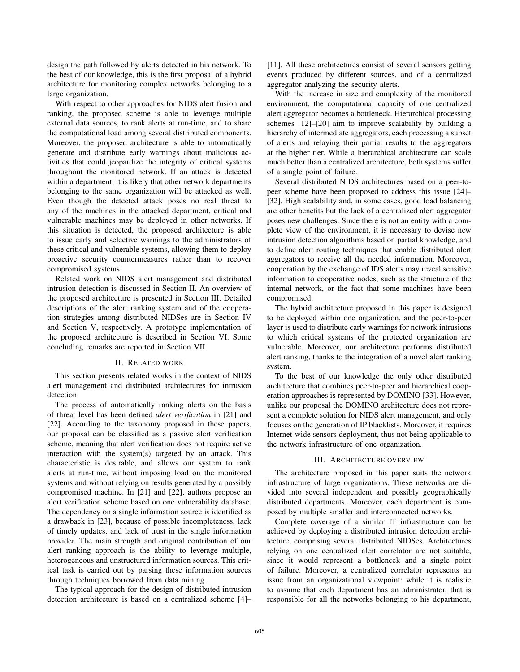design the path followed by alerts detected in his network. To the best of our knowledge, this is the first proposal of a hybrid architecture for monitoring complex networks belonging to a large organization.

With respect to other approaches for NIDS alert fusion and ranking, the proposed scheme is able to leverage multiple external data sources, to rank alerts at run-time, and to share the computational load among several distributed components. Moreover, the proposed architecture is able to automatically generate and distribute early warnings about malicious activities that could jeopardize the integrity of critical systems throughout the monitored network. If an attack is detected within a department, it is likely that other network departments belonging to the same organization will be attacked as well. Even though the detected attack poses no real threat to any of the machines in the attacked department, critical and vulnerable machines may be deployed in other networks. If this situation is detected, the proposed architecture is able to issue early and selective warnings to the administrators of these critical and vulnerable systems, allowing them to deploy proactive security countermeasures rather than to recover compromised systems.

Related work on NIDS alert management and distributed intrusion detection is discussed in Section II. An overview of the proposed architecture is presented in Section III. Detailed descriptions of the alert ranking system and of the cooperation strategies among distributed NIDSes are in Section IV and Section V, respectively. A prototype implementation of the proposed architecture is described in Section VI. Some concluding remarks are reported in Section VII.

## II. RELATED WORK

This section presents related works in the context of NIDS alert management and distributed architectures for intrusion detection.

The process of automatically ranking alerts on the basis of threat level has been defined *alert verification* in [21] and [22]. According to the taxonomy proposed in these papers, our proposal can be classified as a passive alert verification scheme, meaning that alert verification does not require active interaction with the system(s) targeted by an attack. This characteristic is desirable, and allows our system to rank alerts at run-time, without imposing load on the monitored systems and without relying on results generated by a possibly compromised machine. In [21] and [22], authors propose an alert verification scheme based on one vulnerability database. The dependency on a single information source is identified as a drawback in [23], because of possible incompleteness, lack of timely updates, and lack of trust in the single information provider. The main strength and original contribution of our alert ranking approach is the ability to leverage multiple, heterogeneous and unstructured information sources. This critical task is carried out by parsing these information sources through techniques borrowed from data mining.

The typical approach for the design of distributed intrusion detection architecture is based on a centralized scheme [4]–

[11]. All these architectures consist of several sensors getting events produced by different sources, and of a centralized aggregator analyzing the security alerts.

With the increase in size and complexity of the monitored environment, the computational capacity of one centralized alert aggregator becomes a bottleneck. Hierarchical processing schemes [12]–[20] aim to improve scalability by building a hierarchy of intermediate aggregators, each processing a subset of alerts and relaying their partial results to the aggregators at the higher tier. While a hierarchical architecture can scale much better than a centralized architecture, both systems suffer of a single point of failure.

Several distributed NIDS architectures based on a peer-topeer scheme have been proposed to address this issue [24]– [32]. High scalability and, in some cases, good load balancing are other benefits but the lack of a centralized alert aggregator poses new challenges. Since there is not an entity with a complete view of the environment, it is necessary to devise new intrusion detection algorithms based on partial knowledge, and to define alert routing techniques that enable distributed alert aggregators to receive all the needed information. Moreover, cooperation by the exchange of IDS alerts may reveal sensitive information to cooperative nodes, such as the structure of the internal network, or the fact that some machines have been compromised.

The hybrid architecture proposed in this paper is designed to be deployed within one organization, and the peer-to-peer layer is used to distribute early warnings for network intrusions to which critical systems of the protected organization are vulnerable. Moreover, our architecture performs distributed alert ranking, thanks to the integration of a novel alert ranking system.

To the best of our knowledge the only other distributed architecture that combines peer-to-peer and hierarchical cooperation approaches is represented by DOMINO [33]. However, unlike our proposal the DOMINO architecture does not represent a complete solution for NIDS alert management, and only focuses on the generation of IP blacklists. Moreover, it requires Internet-wide sensors deployment, thus not being applicable to the network infrastructure of one organization.

### III. ARCHITECTURE OVERVIEW

The architecture proposed in this paper suits the network infrastructure of large organizations. These networks are divided into several independent and possibly geographically distributed departments. Moreover, each department is composed by multiple smaller and interconnected networks.

Complete coverage of a similar IT infrastructure can be achieved by deploying a distributed intrusion detection architecture, comprising several distributed NIDSes. Architectures relying on one centralized alert correlator are not suitable, since it would represent a bottleneck and a single point of failure. Moreover, a centralized correlator represents an issue from an organizational viewpoint: while it is realistic to assume that each department has an administrator, that is responsible for all the networks belonging to his department,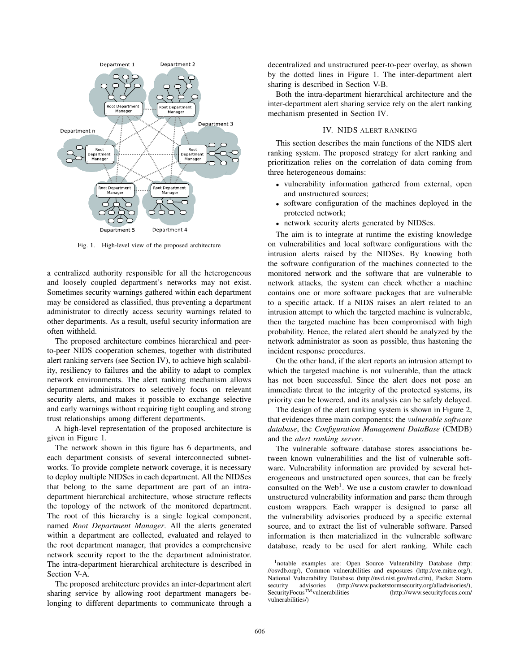

Fig. 1. High-level view of the proposed architecture

a centralized authority responsible for all the heterogeneous and loosely coupled department's networks may not exist. Sometimes security warnings gathered within each department may be considered as classified, thus preventing a department administrator to directly access security warnings related to other departments. As a result, useful security information are often withheld.

The proposed architecture combines hierarchical and peerto-peer NIDS cooperation schemes, together with distributed alert ranking servers (see Section IV), to achieve high scalability, resiliency to failures and the ability to adapt to complex network environments. The alert ranking mechanism allows department administrators to selectively focus on relevant security alerts, and makes it possible to exchange selective and early warnings without requiring tight coupling and strong trust relationships among different departments.

A high-level representation of the proposed architecture is given in Figure 1.

The network shown in this figure has 6 departments, and each department consists of several interconnected subnetworks. To provide complete network coverage, it is necessary to deploy multiple NIDSes in each department. All the NIDSes that belong to the same department are part of an intradepartment hierarchical architecture, whose structure reflects the topology of the network of the monitored department. The root of this hierarchy is a single logical component, named *Root Department Manager*. All the alerts generated within a department are collected, evaluated and relayed to the root department manager, that provides a comprehensive network security report to the the department administrator. The intra-department hierarchical architecture is described in Section V-A.

The proposed architecture provides an inter-department alert sharing service by allowing root department managers belonging to different departments to communicate through a decentralized and unstructured peer-to-peer overlay, as shown by the dotted lines in Figure 1. The inter-department alert sharing is described in Section V-B.

Both the intra-department hierarchical architecture and the inter-department alert sharing service rely on the alert ranking mechanism presented in Section IV.

## IV. NIDS ALERT RANKING

This section describes the main functions of the NIDS alert ranking system. The proposed strategy for alert ranking and prioritization relies on the correlation of data coming from three heterogeneous domains:

- vulnerability information gathered from external, open and unstructured sources;
- software configuration of the machines deployed in the protected network;
- network security alerts generated by NIDSes.

The aim is to integrate at runtime the existing knowledge on vulnerabilities and local software configurations with the intrusion alerts raised by the NIDSes. By knowing both the software configuration of the machines connected to the monitored network and the software that are vulnerable to network attacks, the system can check whether a machine contains one or more software packages that are vulnerable to a specific attack. If a NIDS raises an alert related to an intrusion attempt to which the targeted machine is vulnerable, then the targeted machine has been compromised with high probability. Hence, the related alert should be analyzed by the network administrator as soon as possible, thus hastening the incident response procedures.

On the other hand, if the alert reports an intrusion attempt to which the targeted machine is not vulnerable, than the attack has not been successful. Since the alert does not pose an immediate threat to the integrity of the protected systems, its priority can be lowered, and its analysis can be safely delayed.

The design of the alert ranking system is shown in Figure 2, that evidences three main components: the *vulnerable software database*, the *Configuration Management DataBase* (CMDB) and the *alert ranking server*.

The vulnerable software database stores associations between known vulnerabilities and the list of vulnerable software. Vulnerability information are provided by several heterogeneous and unstructured open sources, that can be freely consulted on the Web<sup>1</sup>. We use a custom crawler to download unstructured vulnerability information and parse them through custom wrappers. Each wrapper is designed to parse all the vulnerability advisories produced by a specific external source, and to extract the list of vulnerable software. Parsed information is then materialized in the vulnerable software database, ready to be used for alert ranking. While each

<sup>1</sup>notable examples are: Open Source Vulnerability Database (http: //osvdb.org/), Common vulnerabilities and exposures (http:/cve.mitre.org/), National Vulnerability Database (http://nvd.nist.gov/nvd.cfm), Packet Storm security advisories (http://www.packetstormsecurity.org/alladvisories/), SecurityFocusTMvulnerabilities (http://www.securityfocus.com/ vulnerabilities/)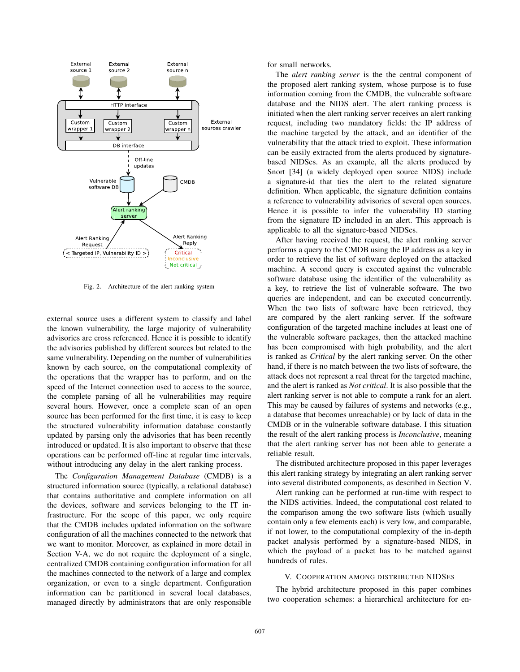

Fig. 2. Architecture of the alert ranking system

external source uses a different system to classify and label the known vulnerability, the large majority of vulnerability advisories are cross referenced. Hence it is possible to identify the advisories published by different sources but related to the same vulnerability. Depending on the number of vulnerabilities known by each source, on the computational complexity of the operations that the wrapper has to perform, and on the speed of the Internet connection used to access to the source, the complete parsing of all he vulnerabilities may require several hours. However, once a complete scan of an open source has been performed for the first time, it is easy to keep the structured vulnerability information database constantly updated by parsing only the advisories that has been recently introduced or updated. It is also important to observe that these operations can be performed off-line at regular time intervals, without introducing any delay in the alert ranking process.

The *Configuration Management Database* (CMDB) is a structured information source (typically, a relational database) that contains authoritative and complete information on all the devices, software and services belonging to the IT infrastructure. For the scope of this paper, we only require that the CMDB includes updated information on the software configuration of all the machines connected to the network that we want to monitor. Moreover, as explained in more detail in Section V-A, we do not require the deployment of a single, centralized CMDB containing configuration information for all the machines connected to the network of a large and complex organization, or even to a single department. Configuration information can be partitioned in several local databases, managed directly by administrators that are only responsible for small networks.

The *alert ranking server* is the the central component of the proposed alert ranking system, whose purpose is to fuse information coming from the CMDB, the vulnerable software database and the NIDS alert. The alert ranking process is initiated when the alert ranking server receives an alert ranking request, including two mandatory fields: the IP address of the machine targeted by the attack, and an identifier of the vulnerability that the attack tried to exploit. These information can be easily extracted from the alerts produced by signaturebased NIDSes. As an example, all the alerts produced by Snort [34] (a widely deployed open source NIDS) include a signature-id that ties the alert to the related signature definition. When applicable, the signature definition contains a reference to vulnerability advisories of several open sources. Hence it is possible to infer the vulnerability ID starting from the signature ID included in an alert. This approach is applicable to all the signature-based NIDSes.

After having received the request, the alert ranking server performs a query to the CMDB using the IP address as a key in order to retrieve the list of software deployed on the attacked machine. A second query is executed against the vulnerable software database using the identifier of the vulnerability as a key, to retrieve the list of vulnerable software. The two queries are independent, and can be executed concurrently. When the two lists of software have been retrieved, they are compared by the alert ranking server. If the software configuration of the targeted machine includes at least one of the vulnerable software packages, then the attacked machine has been compromised with high probability, and the alert is ranked as *Critical* by the alert ranking server. On the other hand, if there is no match between the two lists of software, the attack does not represent a real threat for the targeted machine, and the alert is ranked as *Not critical*. It is also possible that the alert ranking server is not able to compute a rank for an alert. This may be caused by failures of systems and networks (e.g., a database that becomes unreachable) or by lack of data in the CMDB or in the vulnerable software database. I this situation the result of the alert ranking process is *Inconclusive*, meaning that the alert ranking server has not been able to generate a reliable result.

The distributed architecture proposed in this paper leverages this alert ranking strategy by integrating an alert ranking server into several distributed components, as described in Section V.

Alert ranking can be performed at run-time with respect to the NIDS activities. Indeed, the computational cost related to the comparison among the two software lists (which usually contain only a few elements each) is very low, and comparable, if not lower, to the computational complexity of the in-depth packet analysis performed by a signature-based NIDS, in which the payload of a packet has to be matched against hundreds of rules.

## V. COOPERATION AMONG DISTRIBUTED NIDSES

The hybrid architecture proposed in this paper combines two cooperation schemes: a hierarchical architecture for en-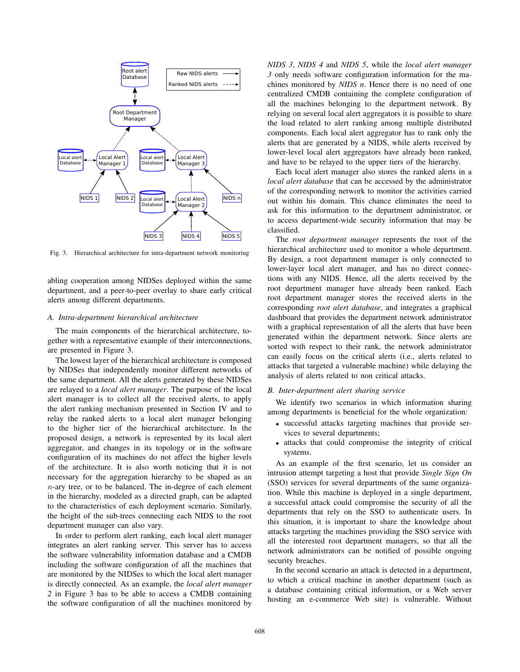

Fig. 3. Hierarchical architecture for intra-department network monitoring

abling cooperation among NIDSes deployed within the same department, and a peer-to-peer overlay to share early critical alerts among different departments.

### *A. Intra-department hierarchical architecture*

The main components of the hierarchical architecture, together with a representative example of their interconnections, are presented in Figure 3.

The lowest layer of the hierarchical architecture is composed by NIDSes that independently monitor different networks of the same department. All the alerts generated by these NIDSes are relayed to a *local alert manager*. The purpose of the local alert manager is to collect all the received alerts, to apply the alert ranking mechanism presented in Section IV and to relay the ranked alerts to a local alert manager belonging to the higher tier of the hierarchical architecture. In the proposed design, a network is represented by its local alert aggregator, and changes in its topology or in the software configuration of its machines do not affect the higher levels of the architecture. It is also worth noticing that it is not necessary for the aggregation hierarchy to be shaped as an  $n$ -ary tree, or to be balanced. The in-degree of each element in the hierarchy, modeled as a directed graph, can be adapted to the characteristics of each deployment scenario. Similarly, the height of the sub-trees connecting each NIDS to the root department manager can also vary.

In order to perform alert ranking, each local alert manager integrates an alert ranking server. This server has to access the software vulnerability information database and a CMDB including the software configuration of all the machines that are monitored by the NIDSes to which the local alert manager is directly connected. As an example, the *local alert manager 2* in Figure 3 has to be able to access a CMDB containing the software configuration of all the machines monitored by *NIDS 3*, *NIDS 4* and *NIDS 5*, while the *local alert manager 3* only needs software configuration information for the machines monitored by *NIDS n*. Hence there is no need of one centralized CMDB containing the complete configuration of all the machines belonging to the department network. By relying on several local alert aggregators it is possible to share the load related to alert ranking among multiple distributed components. Each local alert aggregator has to rank only the alerts that are generated by a NIDS, while alerts received by lower-level local alert aggregators have already been ranked, and have to be relayed to the upper tiers of the hierarchy.

Each local alert manager also stores the ranked alerts in a *local alert database* that can be accessed by the administrator of the corresponding network to monitor the activities carried out within his domain. This chance eliminates the need to ask for this information to the department administrator, or to access department-wide security information that may be classified.

The *root department manager* represents the root of the hierarchical architecture used to monitor a whole department. By design, a root department manager is only connected to lower-layer local alert manager, and has no direct connections with any NIDS. Hence, all the alerts received by the root department manager have already been ranked. Each root department manager stores the received alerts in the corresponding *root alert database*, and integrates a graphical dashboard that provides the department network administrator with a graphical representation of all the alerts that have been generated within the department network. Since alerts are sorted with respect to their rank, the network administrator can easily focus on the critical alerts (i.e., alerts related to attacks that targeted a vulnerable machine) while delaying the analysis of alerts related to non critical attacks.

#### *B. Inter-department alert sharing service*

We identify two scenarios in which information sharing among departments is beneficial for the whole organization:

- successful attacks targeting machines that provide services to several departments;
- attacks that could compromise the integrity of critical systems.

As an example of the first scenario, let us consider an intrusion attempt targeting a host that provide *Single Sign On* (SSO) services for several departments of the same organization. While this machine is deployed in a single department, a successful attack could compromise the security of all the departments that rely on the SSO to authenticate users. In this situation, it is important to share the knowledge about attacks targeting the machines providing the SSO service with all the interested root department managers, so that all the network administrators can be notified of possible ongoing security breaches.

In the second scenario an attack is detected in a department, to which a critical machine in another department (such as a database containing critical information, or a Web server hosting an e-commerce Web site) is vulnerable. Without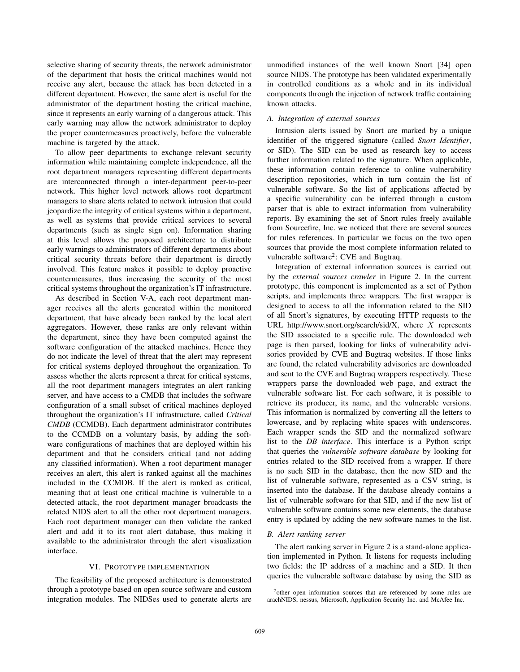selective sharing of security threats, the network administrator of the department that hosts the critical machines would not receive any alert, because the attack has been detected in a different department. However, the same alert is useful for the administrator of the department hosting the critical machine, since it represents an early warning of a dangerous attack. This early warning may allow the network administrator to deploy the proper countermeasures proactively, before the vulnerable machine is targeted by the attack.

To allow peer departments to exchange relevant security information while maintaining complete independence, all the root department managers representing different departments are interconnected through a inter-department peer-to-peer network. This higher level network allows root department managers to share alerts related to network intrusion that could jeopardize the integrity of critical systems within a department, as well as systems that provide critical services to several departments (such as single sign on). Information sharing at this level allows the proposed architecture to distribute early warnings to administrators of different departments about critical security threats before their department is directly involved. This feature makes it possible to deploy proactive countermeasures, thus increasing the security of the most critical systems throughout the organization's IT infrastructure.

As described in Section V-A, each root department manager receives all the alerts generated within the monitored department, that have already been ranked by the local alert aggregators. However, these ranks are only relevant within the department, since they have been computed against the software configuration of the attacked machines. Hence they do not indicate the level of threat that the alert may represent for critical systems deployed throughout the organization. To assess whether the alerts represent a threat for critical systems, all the root department managers integrates an alert ranking server, and have access to a CMDB that includes the software configuration of a small subset of critical machines deployed throughout the organization's IT infrastructure, called *Critical CMDB* (CCMDB). Each department administrator contributes to the CCMDB on a voluntary basis, by adding the software configurations of machines that are deployed within his department and that he considers critical (and not adding any classified information). When a root department manager receives an alert, this alert is ranked against all the machines included in the CCMDB. If the alert is ranked as critical, meaning that at least one critical machine is vulnerable to a detected attack, the root department manager broadcasts the related NIDS alert to all the other root department managers. Each root department manager can then validate the ranked alert and add it to its root alert database, thus making it available to the administrator through the alert visualization interface.

## VI. PROTOTYPE IMPLEMENTATION

The feasibility of the proposed architecture is demonstrated through a prototype based on open source software and custom integration modules. The NIDSes used to generate alerts are unmodified instances of the well known Snort [34] open source NIDS. The prototype has been validated experimentally in controlled conditions as a whole and in its individual components through the injection of network traffic containing known attacks.

# *A. Integration of external sources*

Intrusion alerts issued by Snort are marked by a unique identifier of the triggered signature (called *Snort Identifier*, or SID). The SID can be used as research key to access further information related to the signature. When applicable, these information contain reference to online vulnerability description repositories, which in turn contain the list of vulnerable software. So the list of applications affected by a specific vulnerability can be inferred through a custom parser that is able to extract information from vulnerability reports. By examining the set of Snort rules freely available from Sourcefire, Inc. we noticed that there are several sources for rules references. In particular we focus on the two open sources that provide the most complete information related to vulnerable software<sup>2</sup>: CVE and Bugtraq.

Integration of external information sources is carried out by the *external sources crawler* in Figure 2. In the current prototype, this component is implemented as a set of Python scripts, and implements three wrappers. The first wrapper is designed to access to all the information related to the SID of all Snort's signatures, by executing HTTP requests to the URL http://www.snort.org/search/sid/X, where  $X$  represents the SID associated to a specific rule. The downloaded web page is then parsed, looking for links of vulnerability advisories provided by CVE and Bugtraq websites. If those links are found, the related vulnerability advisories are downloaded and sent to the CVE and Bugtraq wrappers respectively. These wrappers parse the downloaded web page, and extract the vulnerable software list. For each software, it is possible to retrieve its producer, its name, and the vulnerable versions. This information is normalized by converting all the letters to lowercase, and by replacing white spaces with underscores. Each wrapper sends the SID and the normalized software list to the *DB interface*. This interface is a Python script that queries the *vulnerable software database* by looking for entries related to the SID received from a wrapper. If there is no such SID in the database, then the new SID and the list of vulnerable software, represented as a CSV string, is inserted into the database. If the database already contains a list of vulnerable software for that SID, and if the new list of vulnerable software contains some new elements, the database entry is updated by adding the new software names to the list.

# *B. Alert ranking server*

The alert ranking server in Figure 2 is a stand-alone application implemented in Python. It listens for requests including two fields: the IP address of a machine and a SID. It then queries the vulnerable software database by using the SID as

<sup>&</sup>lt;sup>2</sup>other open information sources that are referenced by some rules are arachNIDS, nessus, Microsoft, Application Security Inc. and McAfee Inc.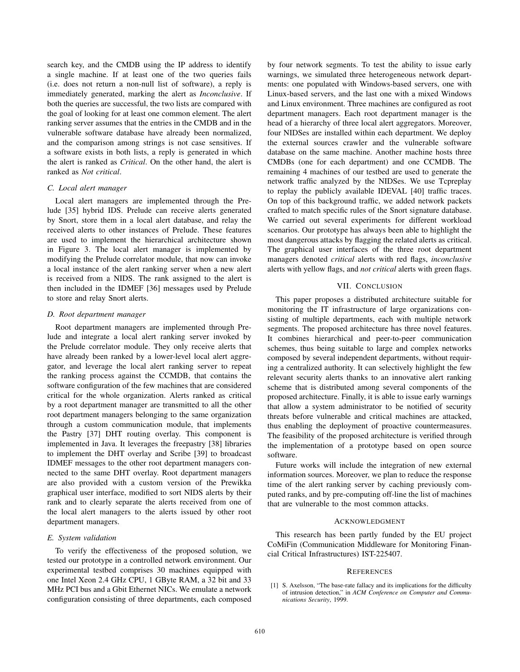search key, and the CMDB using the IP address to identify a single machine. If at least one of the two queries fails (i.e. does not return a non-null list of software), a reply is immediately generated, marking the alert as *Inconclusive*. If both the queries are successful, the two lists are compared with the goal of looking for at least one common element. The alert ranking server assumes that the entries in the CMDB and in the vulnerable software database have already been normalized, and the comparison among strings is not case sensitives. If a software exists in both lists, a reply is generated in which the alert is ranked as *Critical*. On the other hand, the alert is ranked as *Not critical*.

### *C. Local alert manager*

Local alert managers are implemented through the Prelude [35] hybrid IDS. Prelude can receive alerts generated by Snort, store them in a local alert database, and relay the received alerts to other instances of Prelude. These features are used to implement the hierarchical architecture shown in Figure 3. The local alert manager is implemented by modifying the Prelude correlator module, that now can invoke a local instance of the alert ranking server when a new alert is received from a NIDS. The rank assigned to the alert is then included in the IDMEF [36] messages used by Prelude to store and relay Snort alerts.

#### *D. Root department manager*

Root department managers are implemented through Prelude and integrate a local alert ranking server invoked by the Prelude correlator module. They only receive alerts that have already been ranked by a lower-level local alert aggregator, and leverage the local alert ranking server to repeat the ranking process against the CCMDB, that contains the software configuration of the few machines that are considered critical for the whole organization. Alerts ranked as critical by a root department manager are transmitted to all the other root department managers belonging to the same organization through a custom communication module, that implements the Pastry [37] DHT routing overlay. This component is implemented in Java. It leverages the freepastry [38] libraries to implement the DHT overlay and Scribe [39] to broadcast IDMEF messages to the other root department managers connected to the same DHT overlay. Root department managers are also provided with a custom version of the Prewikka graphical user interface, modified to sort NIDS alerts by their rank and to clearly separate the alerts received from one of the local alert managers to the alerts issued by other root department managers.

# *E. System validation*

To verify the effectiveness of the proposed solution, we tested our prototype in a controlled network environment. Our experimental testbed comprises 30 machines equipped with one Intel Xeon 2.4 GHz CPU, 1 GByte RAM, a 32 bit and 33 MHz PCI bus and a Gbit Ethernet NICs. We emulate a network configuration consisting of three departments, each composed

by four network segments. To test the ability to issue early warnings, we simulated three heterogeneous network departments: one populated with Windows-based servers, one with Linux-based servers, and the last one with a mixed Windows and Linux environment. Three machines are configured as root department managers. Each root department manager is the head of a hierarchy of three local alert aggregators. Moreover, four NIDSes are installed within each department. We deploy the external sources crawler and the vulnerable software database on the same machine. Another machine hosts three CMDBs (one for each department) and one CCMDB. The remaining 4 machines of our testbed are used to generate the network traffic analyzed by the NIDSes. We use Tcpreplay to replay the publicly available IDEVAL [40] traffic traces. On top of this background traffic, we added network packets crafted to match specific rules of the Snort signature database. We carried out several experiments for different workload scenarios. Our prototype has always been able to highlight the most dangerous attacks by flagging the related alerts as critical. The graphical user interfaces of the three root department managers denoted *critical* alerts with red flags, *inconclusive* alerts with yellow flags, and *not critical* alerts with green flags.

## VII. CONCLUSION

This paper proposes a distributed architecture suitable for monitoring the IT infrastructure of large organizations consisting of multiple departments, each with multiple network segments. The proposed architecture has three novel features. It combines hierarchical and peer-to-peer communication schemes, thus being suitable to large and complex networks composed by several independent departments, without requiring a centralized authority. It can selectively highlight the few relevant security alerts thanks to an innovative alert ranking scheme that is distributed among several components of the proposed architecture. Finally, it is able to issue early warnings that allow a system administrator to be notified of security threats before vulnerable and critical machines are attacked, thus enabling the deployment of proactive countermeasures. The feasibility of the proposed architecture is verified through the implementation of a prototype based on open source software.

Future works will include the integration of new external information sources. Moreover, we plan to reduce the response time of the alert ranking server by caching previously computed ranks, and by pre-computing off-line the list of machines that are vulnerable to the most common attacks.

#### ACKNOWLEDGMENT

This research has been partly funded by the EU project CoMiFin (Communication Middleware for Monitoring Financial Critical Infrastructures) IST-225407.

#### **REFERENCES**

[1] S. Axelsson, "The base-rate fallacy and its implications for the difficulty of intrusion detection," in *ACM Conference on Computer and Communications Security*, 1999.